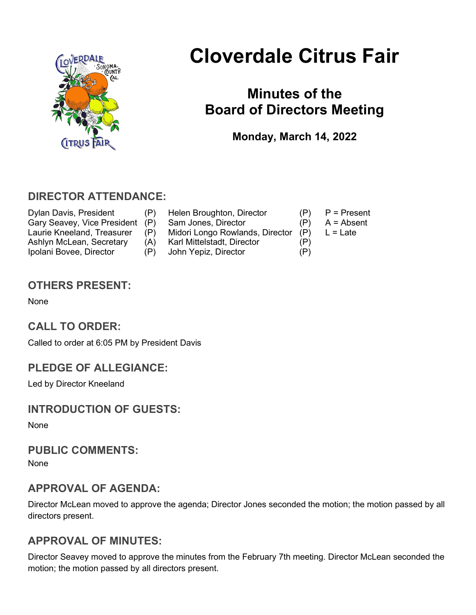

# Cloverdale Citrus Fair

## Minutes of the Board of Directors Meeting

Monday, March 14, 2022

## DIRECTOR ATTENDANCE:

Dylan Davis, President (P) Helen Broughton, Director (P) P = Present<br>Gary Seavey. Vice President (P) Sam Jones. Director (P) A = Absent Gary Seavey, Vice President (P) Sam Jones, Director (P) Laurie Kneeland, Treasurer (P) Midori Longo Rowlands, Director (P) L = Late Ashlyn McLean, Secretary (A) Karl Mittelstadt, Director (P) Ipolani Bovee, Director (P) John Yepiz, Director (P)

- 
- -
	-

OTHERS PRESENT:

None

## CALL TO ORDER:

Called to order at 6:05 PM by President Davis

## PLEDGE OF ALLEGIANCE:

Led by Director Kneeland

## INTRODUCTION OF GUESTS:

None

#### PUBLIC COMMENTS:

None

## APPROVAL OF AGENDA:

Director McLean moved to approve the agenda; Director Jones seconded the motion; the motion passed by all directors present.

## APPROVAL OF MINUTES:

Director Seavey moved to approve the minutes from the February 7th meeting. Director McLean seconded the motion; the motion passed by all directors present.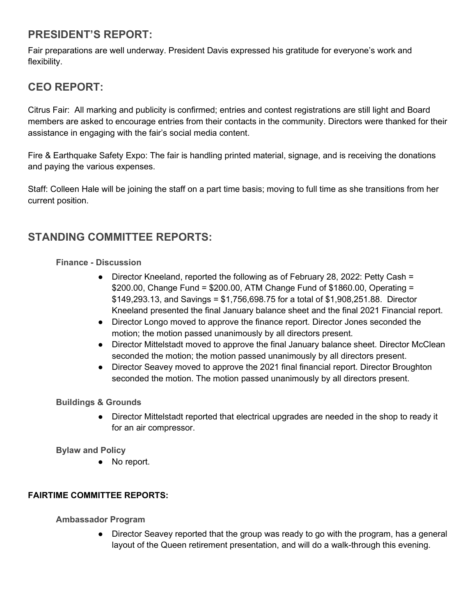## PRESIDENT'S REPORT:

Fair preparations are well underway. President Davis expressed his gratitude for everyone's work and flexibility.

## CEO REPORT:

Citrus Fair: All marking and publicity is confirmed; entries and contest registrations are still light and Board members are asked to encourage entries from their contacts in the community. Directors were thanked for their assistance in engaging with the fair's social media content.

Fire & Earthquake Safety Expo: The fair is handling printed material, signage, and is receiving the donations and paying the various expenses.

Staff: Colleen Hale will be joining the staff on a part time basis; moving to full time as she transitions from her current position.

## STANDING COMMITTEE REPORTS:

#### Finance - Discussion

- Director Kneeland, reported the following as of February 28, 2022: Petty Cash = \$200.00, Change Fund = \$200.00, ATM Change Fund of \$1860.00, Operating = \$149,293.13, and Savings = \$1,756,698.75 for a total of \$1,908,251.88. Director Kneeland presented the final January balance sheet and the final 2021 Financial report.
- Director Longo moved to approve the finance report. Director Jones seconded the motion; the motion passed unanimously by all directors present.
- Director Mittelstadt moved to approve the final January balance sheet. Director McClean seconded the motion; the motion passed unanimously by all directors present.
- Director Seavey moved to approve the 2021 final financial report. Director Broughton seconded the motion. The motion passed unanimously by all directors present.

#### Buildings & Grounds

● Director Mittelstadt reported that electrical upgrades are needed in the shop to ready it for an air compressor.

#### Bylaw and Policy

● No report.

#### FAIRTIME COMMITTEE REPORTS:

Ambassador Program

● Director Seavey reported that the group was ready to go with the program, has a general layout of the Queen retirement presentation, and will do a walk-through this evening.